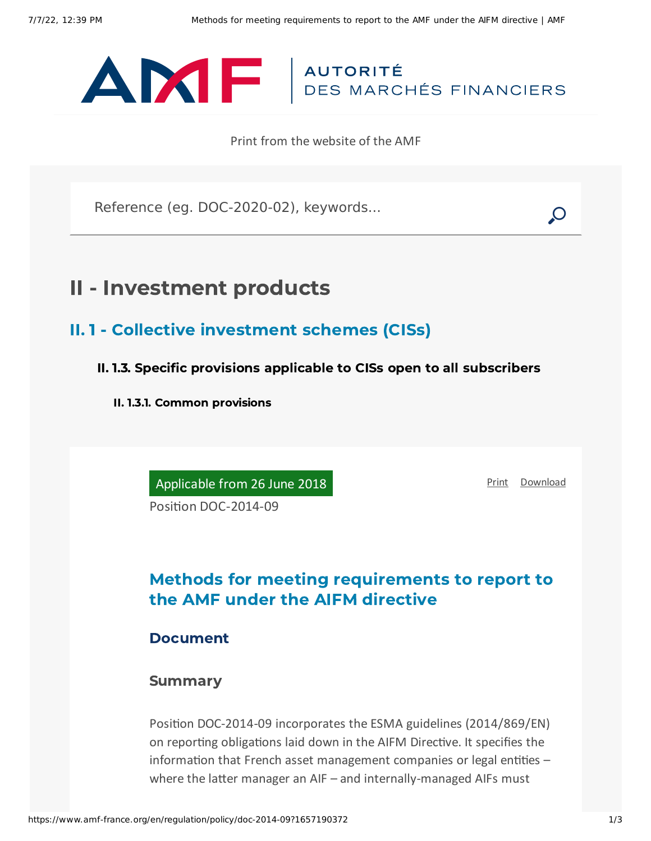

Print from the website of the AMF

Reference (eg. DOC-2020-02), keywords...

# II - Investment products

- II. 1 Collective investment schemes (CISs)
	- II. 1.3. Specific provisions applicable to CISs open to all subscribers
		- II. 1.3.1. Common provisions

Applicable from 26 June 2018

[Print](javascript:window.print()) [Download](https://www.amf-france.org/sites/default/files/pdf/62894/en/Methods_for_meeting_requirements_to_report_to_the_AMF_under_the_AIFM_directive.pdf?1657190374)

Position DOC-2014-09

## Methods for meeting requirements to report to the AMF under the AIFM directive

#### Document

#### Summary

Position DOC-2014-09 incorporates the ESMA guidelines (2014/869/EN) on reporting obligations laid down in the AIFM Directive. It specifies the information that French asset management companies or legal entities – where the latter manager an AIF – and internally-managed AIFs must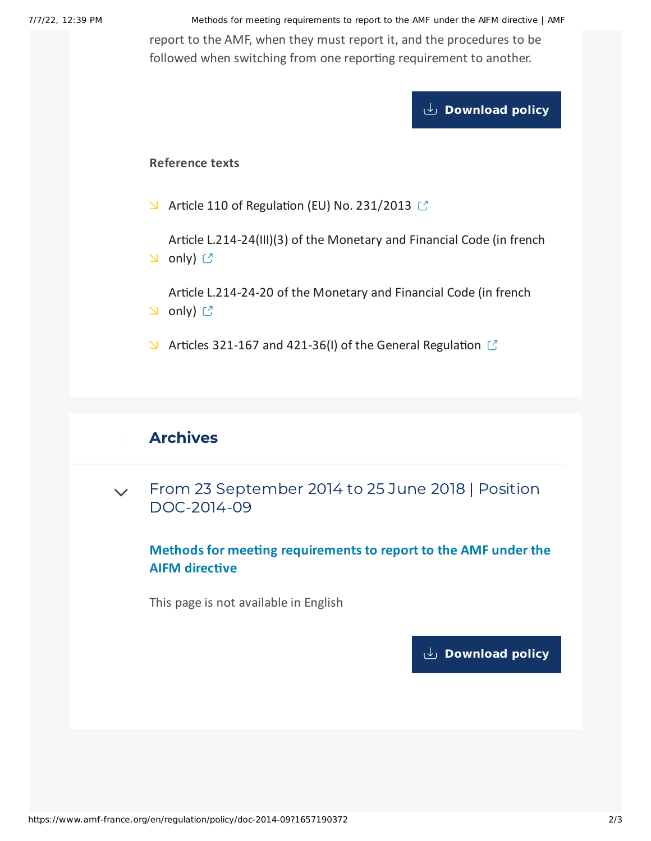7/7/22, 12:39 PM Methods for meeting requirements to report to the AMF under the AIFM directive | AMF report to the AMF, when they must report it, and the procedures to be followed when switching from one reporting requirement to another.

**[Download](https://www.amf-france.org/sites/default/files/private/2020-11/20180626-methods-for-meeting-requirements-to-report-to-the-amf-under-the-aifm-directive-.pdf) policy**

#### **Reference texts**

 $\blacktriangleright$  Article 110 of [Regulation](https://eur-lex.europa.eu/legal-content/EN/TXT/PDF/?uri=CELEX:32013R0231&from=EN) (EU) No. 231/2013  $\heartsuit$ 

Article [L.214-24\(III\)\(3\)](https://www.legifrance.gouv.fr/affichCodeArticle.do?idArticle=LEGIARTI000027786948&cidTexte=LEGITEXT000006072026&dateTexte=20140922&oldAction=rechCodeArticle&fastReqId=1835757192&nbResultRech=1) of the Monetary and Financial Code (in french **∆** only) ぴ

Article [L.214-24-20](https://www.legifrance.gouv.fr/affichCodeArticle.do?idArticle=LEGIARTI000027764251&cidTexte=LEGITEXT000006072026&dateTexte=20140922&oldAction=rechCodeArticle&fastReqId=1520157032&nbResultRech=1) of the Monetary and Financial Code (in french **⊇** only) <mark>ピ</mark>

 $\blacktriangleright$  Articles 321-167 and 421-36(I) of the General [Regulation](https://www.amf-france.org/eli/fr/aai/amf/rg/20180103/notes/en.pdf)  $\blacktriangleright$ 

### Archives

From 23 September 2014 to 25 June 2018 | Position [DOC-2014-09](#page-1-0)  $\vee$ 

**Methods for meeting requirements to report to the AMF under the AIFM directive**

<span id="page-1-0"></span>This page is not available in English

**[Download](https://www.amf-france.org/sites/default/files/pdf/62894/en/Methods_for_meeting_requirements_to_report_to_the_AMF_under_the_AIFM_directive.pdf?1657190374?1657190374) policy**